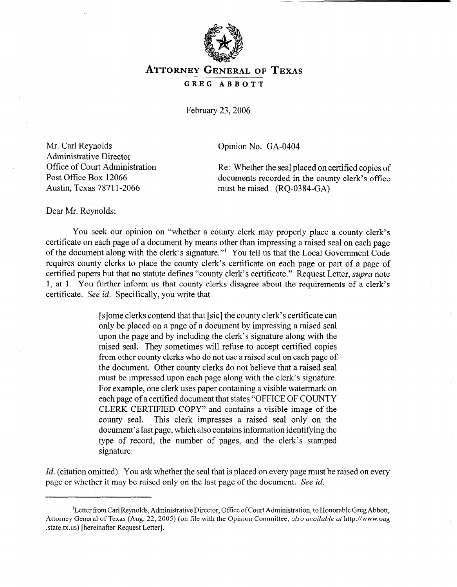

## **ATTORNEY GENERAL OF TEXAS GREG ABBOTT**

February 23,2006

Mr. Carl Reynolds Administrative Director Office of Court Administration Post Office Box 12066 Austin, Texas 7871 l-2066

Opinion No. GA-0404

Re: Whether the seal placed on certified copies of documents recorded in the county clerk's office must be raised (RQ-0384-GA)

Dear Mr. Reynolds:

You seek our opinion on "whether a county clerk may properly place a county clerk's certificate on each page of a document by means other than impressing a raised seal on each page of the document along with the clerk's signature."' You tell us that the Local Government Code requires county clerks to place the county clerk's certificate on each page or part of a page of certified papers but that no statute defines "county clerk's certificate." Request Letter, *supra* note 1, at 1. You further inform us that county clerks disagree about the requirements of a clerk's certificate. See *id.* Specifically, you write that

> [s]ome clerks contend that that [sic] the county clerk's certificate can only be placed on a page of a document by impressing a raised seal upon the page and by including the clerk's signature along with the raised seal. They sometimes will refuse to accept certified copies from other county clerks who do not use a raised seal on each page of the document. Other county clerks do not believe that a raised seal must be impressed upon each page along with the clerk's signature. For example, one clerk uses paper containing a visible watermark on each page of a certified document that states "OFFICE OF COUNTY CLERK CERTIFIED COPY" and contains a visible image of the county seal. This clerk impresses a raised seal only on the document's last page, which also contains information identifying the type of record, the number of pages, and the clerk's stamped signature.

*Id.* (citation omitted). You ask whether the seal that is placed on every page must be raised on every page or whether it may be raised only on the last page of the document. See *id.* 

<sup>&</sup>lt;sup>1</sup>Letter from Carl Reynolds, Administrative Director, Office of Court Administration, to Honorable Greg Abbott, Attorney General of Texas (Aug. 22, 2005) (on file with the Opinion Committee, *also available at* http://www.oag .state.tx.us) [hereinafter Request Letter].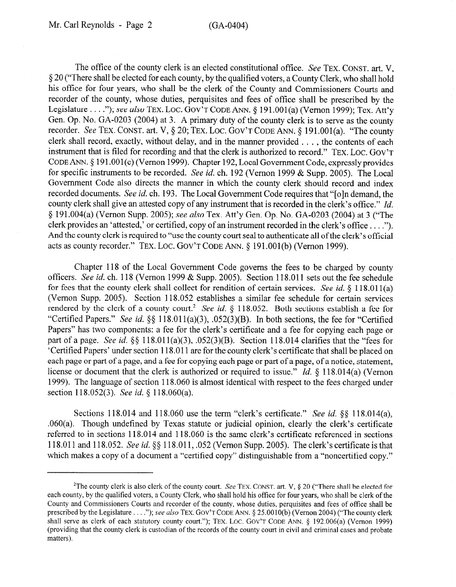The office of the county clerk is an elected constitutional office. See TEX, CONST. art. V, § 20 ("There shall be elected for each county, by the qualified voters, a County Clerk, who shall hold his office for four years, who shall be the clerk of the County and Commissioners Courts and recorder of the county, whose duties, perquisites and fees of office shall be prescribed by the Legislature . . . ."); see also TEX. LOC. GOV'T CODE ANN. § 191.001(a) (Vernon 1999); Tex. Att'y Gen. Op. No. GA-0203 (2004) at 3. A primary duty of the county clerk is to serve as the county recorder. See TEX. CONST. art. V, § 20; TEX. LOC. GOV'T CODE ANN. § 191.001(a). "The county clerk shall record, exactly, without delay, and in the manner provided . . . , the contents of each instrument that is filed for recording and that the clerk is authorized to record." TEX. LOC. GOV'T CODE ANN. § 191.001(c) (Vernon 1999). Chapter 192, Local Government Code, expressly provides for specific instruments to be recorded. See *id.* ch. 192 (Vernon 1999 & Supp. 2005). The Local Government Code also directs the manner in which the county clerk should record and index recorded documents. See *id.* ch. 193. The Local Government Code requires that "[o]n demand, the county clerk shall give an attested copy of any instrument that is recorded in the clerk's office." *Id.*  3 191.004(a) (Vernon Supp. 2005); see *also* Tex. Att'y Gen. Op. No. GA-0203 (2004) at 3 ("The clerk provides an 'attested,' or certified, copy of an instrument recorded in the clerk's office . . . ."). And the county clerk is required to "use the county court seal to authenticate all of the clerk's official acts as county recorder." TEX. LOC. GOV'T CODE ANN.  $\S$  191.001(b) (Vernon 1999).

Chapter 118 of the Local Government Code governs the fees to be charged by county officers. See *id.* ch. 118 (Vernon 1999 & Supp. 2005). Section 118.011 sets out the fee schedule for fees that the county clerk shall collect for rendition of certain services. See *id.* § 118.011(a) (Vernon Supp. 2005). Section 118.052 establishes a similar fee schedule for certain services rendered by the clerk of a county court.<sup>2</sup> See *id.*  $\S$  118.052. Both sections establish a fee for "Certified Papers." See id. §§ 118.011(a)(3), .052(3)(B). In both sections, the fee for "Certified Papers" has two components: a fee for the clerk's certificate and a fee for copying each page or part of a page. See *id.* §§ 118.011(a)(3), .052(3)(B). Section 118.014 clarifies that the "fees for 'Certified Papers' under section 118.0 11 are for the county clerk's certificate that shall be placed on each page or part of a page, and a fee for copying each page or part of a page, of a notice, statement, license or document that the clerk is authorized or required to issue.<sup>"</sup> *Id.* § 118.014(a) (Vernon 1999). The language of section 118.060 is almost identical with respect to the fees charged under section 118.052(3). See *id. 3* 118.060(a).

Sections 118.014 and 118.060 use the term "clerk's certificate." See *id.* \$6 118.014(a), .060(a). Though undefined by Texas statute or judicial opinion, clearly the clerk's certificate referred to in sections 118.014 and 118.060 is the same clerk's certificate referenced in sections 118.011 and 118.052. See *id.* \$0 118.011, .052 (Vernon Supp. 2005). The clerk's certificate is that which makes a copy of a document a "certified copy" distinguishable from a "noncertified copy."

<sup>&</sup>lt;sup>2</sup>The county clerk is also clerk of the county court. See TEX. CONST. art. V, § 20 ("There shall be elected for each county, by the qualified voters, a County Clerk, who shall hold his office for four years, who shall be clerk of the County and Commissioners Courts and recorder of the county, whose duties, perquisites and fees of office shall be prescribed by the Legislature . . . ."); see also **TEX. GOV'T CODE** ANN. 4 25.0010(b) (Vernon 2004) ("The county clerk shall serve as clerk of each statutory county court."); TEX. LOC. GOV'T CODE ANN. § 192.006(a) (Vernon 1999) (providing that the county clerk is custodian of the records of the county court in civil and criminal cases and probate matters).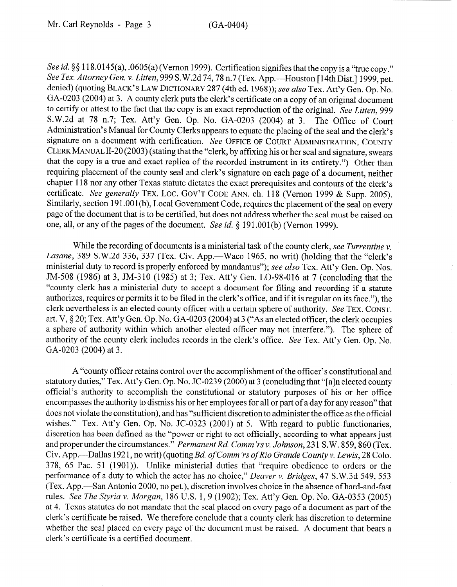See *id.* §§ 118.0145(a), .0605(a) (Vernon 1999). Certification signifies that the copy is a "true copy." *See Tex. Attorney Gen. v. Litten,* 999 S.W.2d 74,78 n.7 (Tex. App.-Houston [ 14th Dist.] 1999, pet. denied) (quoting **BLACK'S** LAW DICTIONARY 287 (4th ed. 1968)); see *also* Tex. Att'y Gen. Op. No. GA-0203 (2004) at 3. A county clerk puts the clerk's certificate on a copy of an original document to certify or attest to the fact that the copy is an exact reproduction of the original. *See Litten, 999*  S.W.2d at 78 n.7; Tex. Att'y Gen. Op. No. GA-0203 (2004) at 3. The Office of Court Administration's Manual for County Clerks appears to equate the placing of the seal and the clerk's signature on a document with certification. See **OFFICE OF** COURT ADMINISTRATION, **COUNTY CLERK MANUAL** II-20 (2003) (stating that the "clerk, by affixing his or her seal and signature, swears that the copy is a true and exact replica of the recorded instrument in its entirety.") Other than requiring placement of the county seal and clerk's signature on each page of a document, neither chapter 118 nor any other Texas statute dictates the exact prerequisites and contours of the clerk's certificate. *See generally* TEX. LOC. GOV'T CODE ANN. ch. 118 (Vernon 1999 & Supp. 2005). Similarly, section 191.001(b), Local Government Code, requires the placement of the seal on every page of the document that is to be certified, but does not address whether the seal must be raised on one, all, or any of the pages of the document. See *id.* 5 191.001(b) (Vernon 1999).

While the recording of documents is a ministerial task of the county clerk, see *Turrentine v.*  Lasane, 389 S.W.2d 336, 337 (Tex. Civ. App.—Waco 1965, no writ) (holding that the "clerk's ministerial duty to record is properly enforced by mandamus"); see *also* Tex. Att'y Gen. Op. Nos. JM-508 (1986) at 3, JM-3 10 (1985) at 3; Tex. Att'y Gen. LO-98-016 at 7 (concluding that the "county clerk has a ministerial duty to accept a document for filing and recording if a statute authorizes, requires or permits it to be filed in the clerk's office, and if it is regular on its face."), the clerk nevertheless is an elected county officer with a certain sphere of authority. See **TEX. CONST.**  art. V,  $\S 20$ ; Tex. Att'y Gen. Op. No. GA-0203 (2004) at 3 ("As an elected officer, the clerk occupies a sphere of authority within which another elected officer may not interfere."). The sphere of authority of the county clerk includes records in the clerk's office. See Tex. Att'y Gen. Op. No. GA-0203 (2004) at 3.

A "county officer retains control over the accomplishment of the officer's constitutional and statutory duties," Tex. Att'y Gen. Op. No. JC-0239 (2000) at 3 (concluding that "[a]n elected county official's authority to accomplish the constitutional or statutory purposes of his or her office encompasses the authority to dismiss his or her employees for all or part of a day for any reason" that does not violate the constitution), and has "sufficient discretion to administer the office as the official wishes." Tex. Att'y Gen. Op. No. JC-0323 (2001) at 5. With regard to public functionaries, discretion has been defined as the "power or right to act officially, according to what appears just and proper under the circumstances." *Permanent Rd. Comm 'rs v. Johnson, 23* 1 S.W. 859,860 (Tex. Civ. App.—Dallas 1921, no writ) (quoting *Bd. of Comm'rs of Rio Grande County v. Lewis*, 28 Colo. 378, 65 Pac. 51 (1901)). Unlike ministerial duties that "require obedience to orders or the performance of a duty to which the actor has no choice," *Deaver v. Bridges, 47* S.W.3d 549, 553 (Tex. App.-San Antonio 2000, no pet.), discretion involves choice in the absence of hard-and-fast rules. *See The Styria* v. *Morgan,* 186 U.S. 1, 9 (1902); Tex. Att'y Gen. Op. No. GA-0353 (2005) at 4. Texas statutes do not mandate that the seal placed on every page of a document as part of the clerk's certificate be raised. We therefore conclude that a county clerk has discretion to determine whether the seal placed on every page of the document must be raised. A document that bears a clerk's certificate is a certified document.